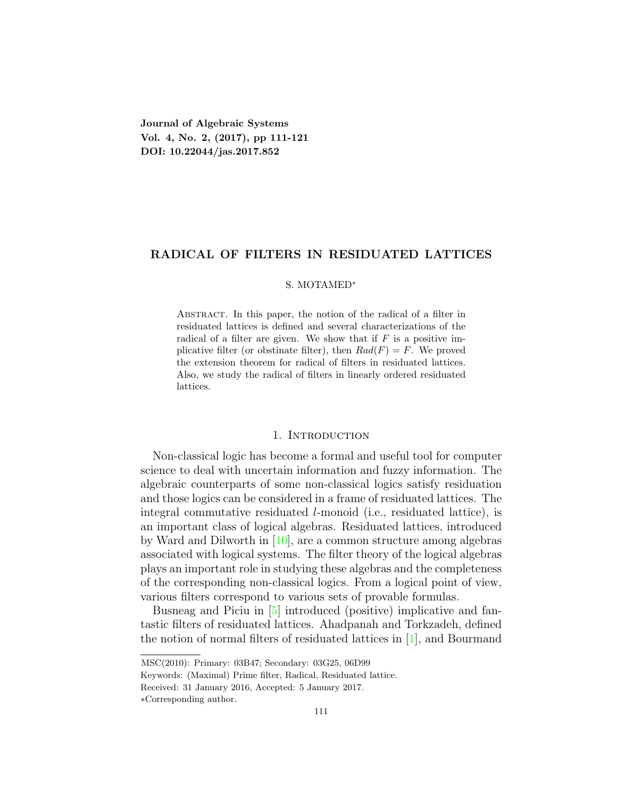**Journal of Algebraic Systems Vol. 4, No. 2, (2017), pp 111-121 DOI: 10.22044/jas.2017.852**

# **RADICAL OF FILTERS IN RESIDUATED LATTICES**

#### S. MOTAMED*<sup>∗</sup>*

Abstract. In this paper, the notion of the radical of a filter in residuated lattices is defined and several characterizations of the radical of a filter are given. We show that if  $F$  is a positive implicative filter (or obstinate filter), then  $Rad(F) = F$ . We proved the extension theorem for radical of filters in residuated lattices. Also, we study the radical of filters in linearly ordered residuated lattices.

# 1. INTRODUCTION

Non-classical logic has become a formal and useful tool for computer science to deal with uncertain information and fuzzy information. The algebraic counterparts of some non-classical logics satisfy residuation and those logics can be considered in a frame of residuated lattices. The integral commutative residuated *l*-monoid (i.e., residuated lattice), is an important class of logical algebras. Residuated lattices, introduced by Ward and Dilworth in [[10](#page-10-0)], are a common structure among algebras associated with logical systems. The filter theory of the logical algebras plays an important role in studying these algebras and the completeness of the corresponding non-classical logics. From a logical point of view, various filters correspond to various sets of provable formulas.

Busneag and Piciu in [[5](#page-9-0)] introduced (positive) implicative and fantastic filters of residuated lattices. Ahadpanah and Torkzadeh, defined the notion of normal filters of residuated lattices in [[1\]](#page-9-1), and Bourmand

MSC(2010): Primary: 03B47; Secondary: 03G25, 06D99

Keywords: (Maximal) Prime filter, Radical, Residuated lattice.

Received: 31 January 2016, Accepted: 5 January 2017.

*<sup>∗</sup>*Corresponding author.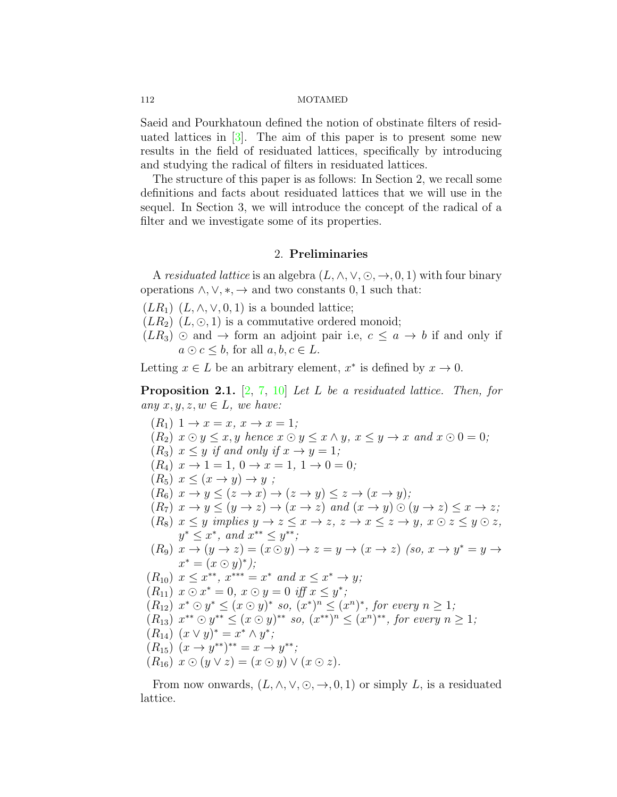Saeid and Pourkhatoun defined the notion of obstinate filters of residuated lattices in  $\lceil 3 \rceil$ . The aim of this paper is to present some new results in the field of residuated lattices, specifically by introducing and studying the radical of filters in residuated lattices.

The structure of this paper is as follows: In Section 2, we recall some definitions and facts about residuated lattices that we will use in the sequel. In Section 3, we will introduce the concept of the radical of a filter and we investigate some of its properties.

# 2. **Preliminaries**

A residuated lattice is an algebra  $(L, \wedge, \vee, \odot, \rightarrow, 0, 1)$  with four binary operations  $\land$ ,  $\lor$ ,  $\ast$ ,  $\rightarrow$  and two constants 0, 1 such that:

 $(LR_1)$   $(L, \wedge, \vee, 0, 1)$  is a bounded lattice;

 $(LR_2)$   $(L, \odot, 1)$  is a commutative ordered monoid;

 $(LR_3)$  ⊙ and → form an adjoint pair i.e,  $c ≤ a → b$  if and only if *a* ⊙ *c*  $\leq b$ , for all *a*, *b*, *c*  $\in$  *L*.

Letting  $x \in L$  be an arbitrary element,  $x^*$  is defined by  $x \to 0$ .

<span id="page-1-0"></span>**Proposition 2.1.** [[2,](#page-9-3) [7,](#page-10-1) [10](#page-10-0)] *Let L be a residuated lattice. Then, for any*  $x, y, z, w \in L$ *, we have:* 

$$
(R_1) 1 \rightarrow x = x, x \rightarrow x = 1;
$$
  
\n
$$
(R_2) x \odot y \leq x, y \text{ hence } x \odot y \leq x \land y, x \leq y \rightarrow x \text{ and } x \odot 0 = 0;
$$
  
\n
$$
(R_3) x \leq y \text{ if and only if } x \rightarrow y = 1;
$$
  
\n
$$
(R_4) x \rightarrow 1 = 1, 0 \rightarrow x = 1, 1 \rightarrow 0 = 0;
$$
  
\n
$$
(R_5) x \leq (x \rightarrow y) \rightarrow y ;
$$
  
\n
$$
(R_6) x \rightarrow y \leq (z \rightarrow x) \rightarrow (z \rightarrow y) \leq z \rightarrow (x \rightarrow y);
$$
  
\n
$$
(R_7) x \rightarrow y \leq (y \rightarrow z) \rightarrow (x \rightarrow z) \text{ and } (x \rightarrow y) \odot (y \rightarrow z) \leq x \rightarrow z;
$$
  
\n
$$
(R_8) x \leq y \text{ implies } y \rightarrow z \leq x \rightarrow z, z \rightarrow x \leq z \rightarrow y, x \odot z \leq y \odot z,
$$
  
\n
$$
y^* \leq x^*, \text{ and } x^{**} \leq y^{**};
$$
  
\n
$$
(R_9) x \rightarrow (y \rightarrow z) = (x \odot y) \rightarrow z = y \rightarrow (x \rightarrow z) \text{ (so, } x \rightarrow y^* = y \rightarrow x^* = (x \odot y)^*);
$$
  
\n
$$
(R_{10}) x \leq x^{**}, x^{***} = x^* \text{ and } x \leq x^* \rightarrow y;
$$
  
\n
$$
(R_{11}) x \odot x^* = 0, x \odot y = 0 \text{ iff } x \leq y^*;
$$
  
\n
$$
(R_{12}) x^* \odot y^* \leq (x \odot y)^* \text{ so, } (x^*)^n \leq (x^n)^*, \text{ for every } n \geq 1;
$$
  
\n
$$
(R_{13}) x^{**} \odot y^{**} \leq (x \odot y)^* \text{ so, } (x^{**})^n \leq (x^n)^* \text{, for every } n \geq 1;
$$
  
\n
$$
(R_{14}) (x \lor y)^* = x^* \land y^*;
$$

From now onwards,  $(L, \wedge, \vee, \odot, \rightarrow, 0, 1)$  or simply *L*, is a residuated lattice.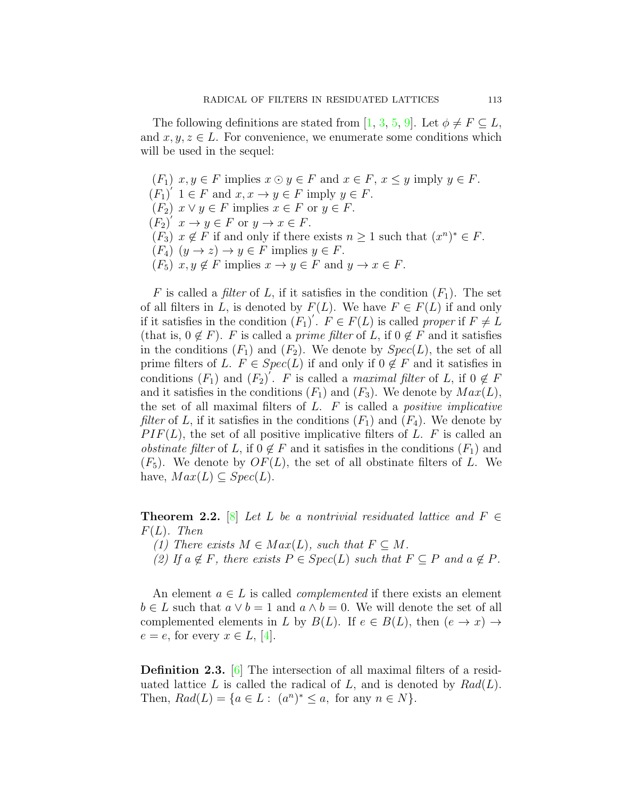The following definitions are stated from [[1,](#page-9-1) [3](#page-9-2), [5,](#page-9-0) [9](#page-10-2)]. Let  $\phi \neq F \subseteq L$ , and  $x, y, z \in L$ . For convenience, we enumerate some conditions which will be used in the sequel:

 $(F_1)$   $x, y \in F$  implies  $x \odot y \in F$  and  $x \in F$ ,  $x \leq y$  imply  $y \in F$ .  $(F_1)'$   $1 \in F$  and  $x, x \to y \in F$  imply  $y \in F$ .  $(F_2)$   $x \vee y \in F$  implies  $x \in F$  or  $y \in F$ .  $(F_2)'$   $x \to y \in F$  or  $y \to x \in F$ .  $(F_3)$   $x \notin F$  if and only if there exists  $n \geq 1$  such that  $(x^n)^* \in F$ .  $(F_4)$   $(y \to z) \to y \in F$  implies  $y \in F$ .  $(F_5)$   $x, y \notin F$  implies  $x \to y \in F$  and  $y \to x \in F$ .

*F* is called a *filter* of *L*, if it satisfies in the condition  $(F_1)$ . The set of all filters in *L*, is denoted by  $F(L)$ . We have  $F \in F(L)$  if and only if it satisfies in the condition  $(F_1)'$ .  $F \in F(L)$  is called *proper* if  $F \neq L$ (that is,  $0 \notin F$ ). *F* is called a *prime filter* of *L*, if  $0 \notin F$  and it satisfies in the conditions  $(F_1)$  and  $(F_2)$ . We denote by  $Spec(L)$ , the set of all prime filters of *L*.  $F \in Spec(L)$  if and only if  $0 \notin F$  and it satisfies in conditions  $(F_1)$  and  $(F_2)'$ . *F* is called a *maximal filter* of *L*, if  $0 \notin F$ and it satisfies in the conditions  $(F_1)$  and  $(F_3)$ . We denote by  $Max(L)$ , the set of all maximal filters of *L*. *F* is called a *positive implicative filter* of *L*, if it satisfies in the conditions  $(F_1)$  and  $(F_4)$ . We denote by *P IF*(*L*), the set of all positive implicative filters of *L*. *F* is called an *obstinate filter* of *L*, if  $0 \notin F$  and it satisfies in the conditions  $(F_1)$  and  $(F_5)$ . We denote by  $OF(L)$ , the set of all obstinate filters of L. We have,  $Max(L) \subseteq Spec(L)$ .

<span id="page-2-0"></span>**Theorem 2.2.** [[8\]](#page-10-3) *Let L be a nontrivial residuated lattice and*  $F \in$ *F*(*L*)*. Then*

- *(1)* There exists  $M \in Max(L)$ , such that  $F \subseteq M$ .
- $(2)$  *If*  $a \notin F$ *, there exists*  $P \in Spec(L)$  *such that*  $F \subseteq P$  *and*  $a \notin P$ *.*

An element  $a \in L$  is called *complemented* if there exists an element *b* ∈ *L* such that  $a ∨ b = 1$  and  $a ∧ b = 0$ . We will denote the set of all complemented elements in *L* by  $B(L)$ . If  $e \in B(L)$ , then  $(e \rightarrow x) \rightarrow$  $e = e$ , for every  $x \in L$ , [[4\]](#page-9-4).

**Definition 2.3.** [\[6](#page-10-4)] The intersection of all maximal filters of a residuated lattice  $L$  is called the radical of  $L$ , and is denoted by  $Rad(L)$ . Then,  $Rad(L) = \{a \in L : (a^n)^* \le a, \text{ for any } n \in N\}.$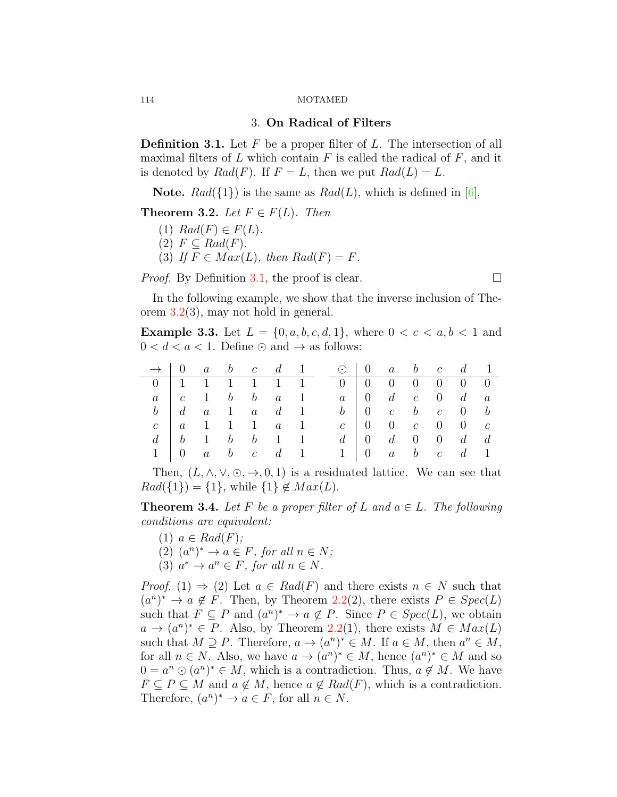## 3. **On Radical of Filters**

<span id="page-3-0"></span>**Definition 3.1.** Let *F* be a proper filter of *L*. The intersection of all maximal filters of *L* which contain *F* is called the radical of *F*, and it is denoted by  $Rad(F)$ . If  $F = L$ , then we put  $Rad(L) = L$ .

**Note.**  $Rad({1})$  is the same as  $Rad(L)$ , which is defined in [[6](#page-10-4)].

<span id="page-3-1"></span>**Theorem 3.2.** *Let*  $F \in F(L)$ *. Then* 

- $(1)$   $Rad(F) \in F(L)$ .
- $(2)$   $F \subseteq Rad(F)$ .
- (3) If  $F \in Max(L)$ , then  $Rad(F) = F$ .

*Proof.* By Definition [3.1](#page-3-0), the proof is clear.  $\Box$ 

In the following example, we show that the inverse inclusion of Theorem [3.2\(](#page-3-1)3), may not hold in general.

<span id="page-3-3"></span>**Example 3.3.** Let  $L = \{0, a, b, c, d, 1\}$ , where  $0 < c < a, b < 1$  and  $0 < d < a < 1$ . Define  $\odot$  and  $\rightarrow$  as follows:

|                                                                                                              |  |  |  | $\rightarrow$   0 a b c d 1 $\odot$   0 a b c d 1                                                          |  |  |  |
|--------------------------------------------------------------------------------------------------------------|--|--|--|------------------------------------------------------------------------------------------------------------|--|--|--|
|                                                                                                              |  |  |  | $0 \mid 1 \quad 1 \quad 1 \quad 1 \quad 1 \quad 1 \qquad 0 \mid 0 \quad 0 \quad 0 \quad 0 \quad 0 \quad 0$ |  |  |  |
| $a \quad c \quad 1 \quad b \quad b \quad a \quad 1 \qquad a \quad 0 \quad d \quad c \quad 0 \quad d \quad a$ |  |  |  |                                                                                                            |  |  |  |
|                                                                                                              |  |  |  | $b$   d a 1 a d 1 b   0 c b c 0 b                                                                          |  |  |  |
|                                                                                                              |  |  |  | $c \ a \ 1 \ 1 \ 1 \ a \ 1 \ c \   \ 0 \ 0 \ c \ 0 \ 0 \ c$                                                |  |  |  |
|                                                                                                              |  |  |  | $d \mid b \mid 1 \mid b \mid b \mid 1 \mid 1 \mid d \mid 0 \mid d \mid 0 \mid 0 \mid d \mid d$             |  |  |  |
|                                                                                                              |  |  |  | $1 \t 0 \t a \t b \t c \t d \t 1 \t 1 \t 0 \t a \t b \t c \t d \t 1$                                       |  |  |  |

Then,  $(L, \wedge, \vee, \odot, \rightarrow, 0, 1)$  is a residuated lattice. We can see that  $Rad({1}) = {1}$ , while  ${1} \notin Max(L)$ .

<span id="page-3-2"></span>**Theorem 3.4.** Let F be a proper filter of L and  $a \in L$ . The following *conditions are equivalent:*

- $(1)$   $a \in Rad(F)$ ;
- $(2)$   $(a^n)^* \rightarrow a \in F$ , for all  $n \in N$ ;
- $(3)$   $a^* \to a^n \in F$ , for all  $n \in N$ .

*Proof.* (1)  $\Rightarrow$  (2) Let  $a \in Rad(F)$  and there exists  $n \in N$  such that  $(a^n)^* \to a \notin F$ . Then, by Theorem [2.2\(](#page-2-0)2), there exists  $P \in Spec(L)$ such that  $F \subseteq P$  and  $(a^n)^* \to a \notin P$ . Since  $P \in Spec(L)$ , we obtain  $a \rightarrow (a^n)^* \in P$ . Also, by Theorem [2.2](#page-2-0)(1), there exists  $M \in Max(L)$ such that  $M \supseteq P$ . Therefore,  $a \to (a^n)^* \in M$ . If  $a \in M$ , then  $a^n \in M$ , for all  $n \in N$ . Also, we have  $a \to (a^n)^* \in M$ , hence  $(a^n)^* \in M$  and so  $0 = a^n \odot (a^n)^* \in M$ , which is a contradiction. Thus,  $a \notin M$ . We have  $F \subseteq P \subseteq M$  and  $a \notin M$ , hence  $a \notin Rad(F)$ , which is a contradiction. Therefore,  $(a^n)^* \to a \in F$ , for all  $n \in N$ .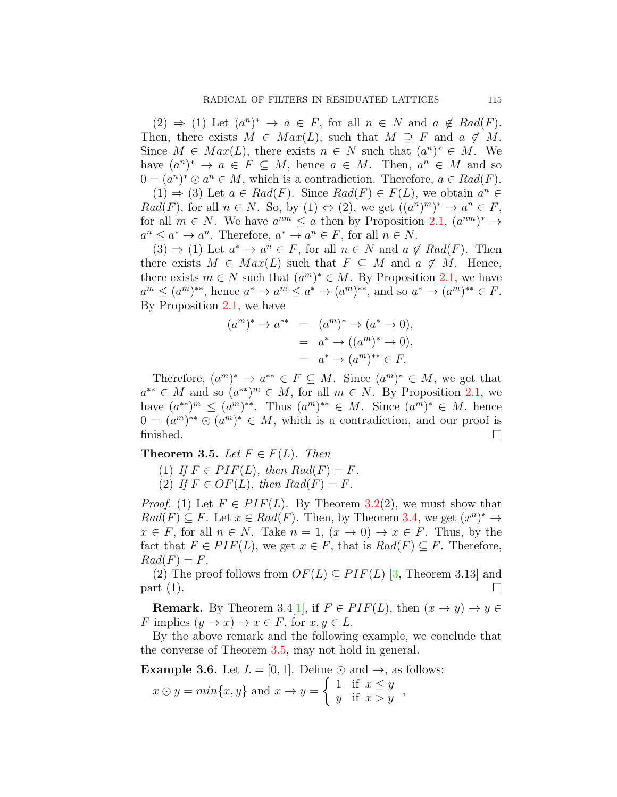$(2) \Rightarrow (1)$  Let  $(a^n)^* \rightarrow a \in F$ , for all  $n \in N$  and  $a \notin Rad(F)$ . Then, there exists  $M \in Max(L)$ , such that  $M \supseteq F$  and  $a \notin M$ . Since  $M \in Max(L)$ , there exists  $n \in N$  such that  $(a^n)^* \in M$ . We have  $(a^n)^* \to a \in F \subseteq M$ , hence  $a \in M$ . Then,  $a^n \in M$  and so  $0 = (a^n)^* \odot a^n \in M$ , which is a contradiction. Therefore,  $a \in Rad(F)$ .

 $(1) \Rightarrow (3)$  Let  $a \in Rad(F)$ . Since  $Rad(F) \in F(L)$ , we obtain  $a^n \in$ *Rad*(*F*), for all  $n \in N$ . So, by (1)  $\Leftrightarrow$  (2), we get  $((a^n)^m)^* \to a^n \in F$ , for all  $m \in N$ . We have  $a^{nm} \leq a$  then by Proposition [2.1,](#page-1-0)  $(a^{nm})^* \to$  $a^n \leq a^* \to a^n$ . Therefore,  $a^* \to a^n \in F$ , for all  $n \in N$ .

 $(3) \Rightarrow (1)$  Let  $a^* \rightarrow a^n \in F$ , for all  $n \in N$  and  $a \notin Rad(F)$ . Then there exists  $M \in Max(L)$  such that  $F \subseteq M$  and  $a \notin M$ . Hence, there exists  $m \in N$  such that  $(a^m)^* \in M$ . By Proposition [2.1](#page-1-0), we have  $a^m \leq (a^m)^{**}$ , hence  $a^* \to a^m \leq a^* \to (a^m)^{**}$ , and so  $a^* \to (a^m)^{**} \in F$ . By Proposition [2.1,](#page-1-0) we have

$$
(am)* \to a** = (am)* \to (a* \to 0),
$$
  
= a<sup>\*</sup> \to ((a<sup>m</sup>)<sup>\*</sup> \to 0),  
= a<sup>\*</sup> \to (a<sup>m</sup>)<sup>\*\*</sup> \in F.

Therefore,  $(a^m)^* \to a^{**} \in F \subseteq M$ . Since  $(a^m)^* \in M$ , we get that  $a^{**} \in M$  and so  $(a^{**})^m \in M$ , for all  $m \in N$ . By Proposition [2.1,](#page-1-0) we have  $(a^{**})^m$  ≤  $(a^m)^{**}$ . Thus  $(a^m)^{**}$  ∈ *M*. Since  $(a^m)^*$  ∈ *M*, hence  $0 = (a^m)^{**} \odot (a^m)^* \in M$ , which is a contradiction, and our proof is finished.  $\Box$ 

<span id="page-4-0"></span>**Theorem 3.5.** *Let*  $F \in F(L)$ *. Then* 

(1) If 
$$
F \in PIF(L)
$$
, then  $Rad(F) = F$ .

(2) If  $F \in OF(L)$ , then  $Rad(F) = F$ .

*Proof.* (1) Let  $F \in PIF(L)$ . By Theorem [3.2](#page-3-1)(2), we must show that  $Rad(F) \subseteq F$ . Let  $x \in Rad(F)$ . Then, by Theorem [3.4,](#page-3-2) we get  $(x^n)^* \to$  $x \in F$ , for all  $n \in N$ . Take  $n = 1$ ,  $(x \to 0) \to x \in F$ . Thus, by the fact that  $F \in PIF(L)$ , we get  $x \in F$ , that is  $Rad(F) \subseteq F$ . Therefore,  $Rad(F) = F$ .

(2) The proof follows from  $OF(L) \subseteq PIF(L)$  [[3](#page-9-2), Theorem 3.13] and part  $(1)$ .

**Remark.** By Theorem 3.4[[1](#page-9-1)], if  $F \in PIF(L)$ , then  $(x \rightarrow y) \rightarrow y \in$ *F* implies  $(y \to x) \to x \in F$ , for  $x, y \in L$ .

By the above remark and the following example, we conclude that the converse of Theorem [3.5,](#page-4-0) may not hold in general.

**Example 3.6.** Let  $L = [0, 1]$ . Define  $\odot$  and  $\rightarrow$ , as follows:

$$
x \odot y = min\{x, y\}
$$
 and  $x \rightarrow y = \begin{cases} 1 & \text{if } x \leq y \\ y & \text{if } x > y \end{cases}$ ,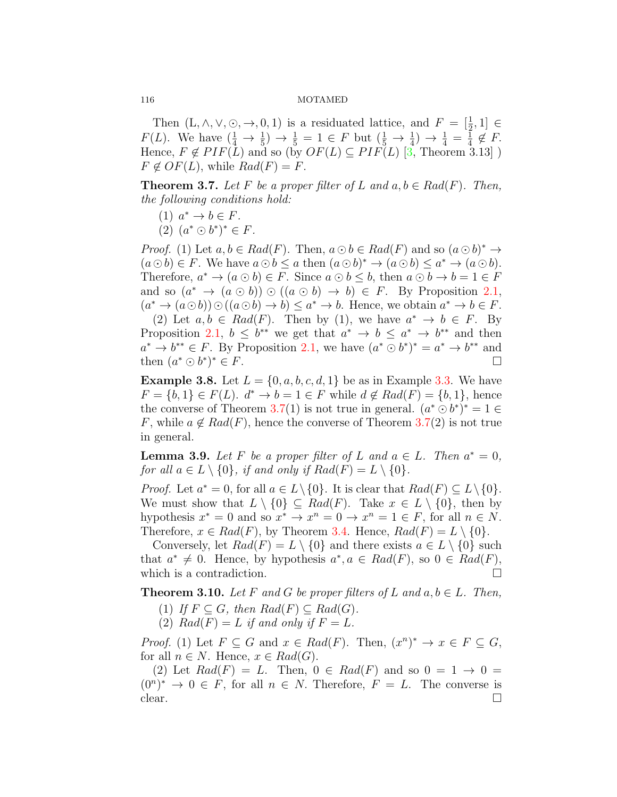Then  $(L, \wedge, \vee, \odot, \rightarrow, 0, 1)$  is a residuated lattice, and  $F = \left[\frac{1}{2}, 1\right] \in$ *F*(*L*). We have  $(\frac{1}{4} \rightarrow \frac{1}{5}) \rightarrow \frac{1}{5} = 1 \in F$  but  $(\frac{1}{5} \rightarrow \frac{1}{4}) \rightarrow \frac{1}{4} = \frac{1}{4}$  $\frac{1}{4} \notin F$ . Hence,  $F \notin PIF(L)$  and so (by  $OF(L) \subseteq PIF(L)$  [[3,](#page-9-2) Theorem 3.13])  $F \notin \mathcal{O}F(L)$ , while  $Rad(F) = F$ .

<span id="page-5-0"></span>**Theorem 3.7.** *Let*  $F$  *be a proper filter of*  $L$  *and*  $a, b \in Rad(F)$ *. Then, the following conditions hold:*

- $(1)$   $a^* \rightarrow b \in F$ .
- $(2)$   $(a^* \odot b^*)^* \in F$ .

*Proof.* (1) Let  $a, b \in Rad(F)$ . Then,  $a \odot b \in Rad(F)$  and so  $(a \odot b)^* \rightarrow$  $(a \odot b) \in F$ . We have  $a \odot b \leq a$  then  $(a \odot b)^* \rightarrow (a \odot b) \leq a^* \rightarrow (a \odot b)$ . Therefore,  $a^* \to (a \odot b) \in F$ . Since  $a \odot b \leq b$ , then  $a \odot b \to b = 1 \in F$ and so  $(a^* \to (a \odot b)) \odot ((a \odot b) \to b) \in F$ . By Proposition [2.1,](#page-1-0)  $(a^* \to (a \odot b)) \odot ((a \odot b) \to b) \leq a^* \to b$ . Hence, we obtain  $a^* \to b \in F$ . (2) Let  $a, b \in Rad(F)$ . Then by (1), we have  $a^* \to b \in F$ . By Proposition [2.1,](#page-1-0)  $b \leq b^{**}$  we get that  $a^* \to b \leq a^* \to b^{**}$  and then

 $a^* \to b^{**} \in F$ . By Proposition [2.1,](#page-1-0) we have  $(a^* \odot b^*)^* = a^* \to b^{**}$  and then  $(a^* \odot b^*)$  $*$   $\in$  *F*.

**Example 3.8.** Let  $L = \{0, a, b, c, d, 1\}$  be as in Example [3.3.](#page-3-3) We have  $F = \{b, 1\} \in F(L)$ .  $d^* \to b = 1 \in F$  while  $d \notin Rad(F) = \{b, 1\}$ , hence the converse of Theorem [3.7](#page-5-0)(1) is not true in general.  $(a^* \odot b^*)^* = 1 \in$ *F*, while  $a \notin Rad(F)$ , hence the converse of Theorem [3.7](#page-5-0)(2) is not true in general.

**Lemma 3.9.** *Let*  $F$  *be a proper filter of*  $L$  *and*  $a \in L$ *. Then*  $a^* = 0$ *, for all*  $a \in L \setminus \{0\}$ *, if and only if*  $Rad(F) = L \setminus \{0\}$ *.* 

*Proof.* Let  $a^* = 0$ , for all  $a \in L \setminus \{0\}$ . It is clear that  $Rad(F) \subseteq L \setminus \{0\}$ . We must show that  $L \setminus \{0\} \subseteq Rad(F)$ . Take  $x \in L \setminus \{0\}$ , then by hypothesis  $x^* = 0$  and so  $x^* \to x^n = 0 \to x^n = 1 \in F$ , for all  $n \in N$ . Therefore,  $x \in Rad(F)$ , by Theorem [3.4](#page-3-2). Hence,  $Rad(F) = L \setminus \{0\}$ .

Conversely, let  $Rad(F) = L \setminus \{0\}$  and there exists  $a \in L \setminus \{0\}$  such that  $a^* \neq 0$ . Hence, by hypothesis  $a^*$ ,  $a \in Rad(F)$ , so  $0 \in Rad(F)$ , which is a contradiction.  $\Box$ 

<span id="page-5-1"></span>**Theorem 3.10.** *Let*  $F$  *and*  $G$  *be proper filters of*  $L$  *and*  $a, b \in L$ *. Then,* 

- (1) *If*  $F \subseteq G$ *, then*  $Rad(F) \subseteq Rad(G)$ *.*
- (2)  $Rad(F) = L$  *if and only if*  $F = L$ *.*

*Proof.* (1) Let  $F \subseteq G$  and  $x \in Rad(F)$ . Then,  $(x^n)^* \to x \in F \subseteq G$ , for all  $n \in N$ . Hence,  $x \in Rad(G)$ .

(2) Let  $Rad(F) = L$ . Then,  $0 \in Rad(F)$  and so  $0 = 1 \rightarrow 0$  $(0^n)^* \rightarrow 0 \in F$ , for all  $n \in N$ . Therefore,  $F = L$ . The converse is clear.  $\Box$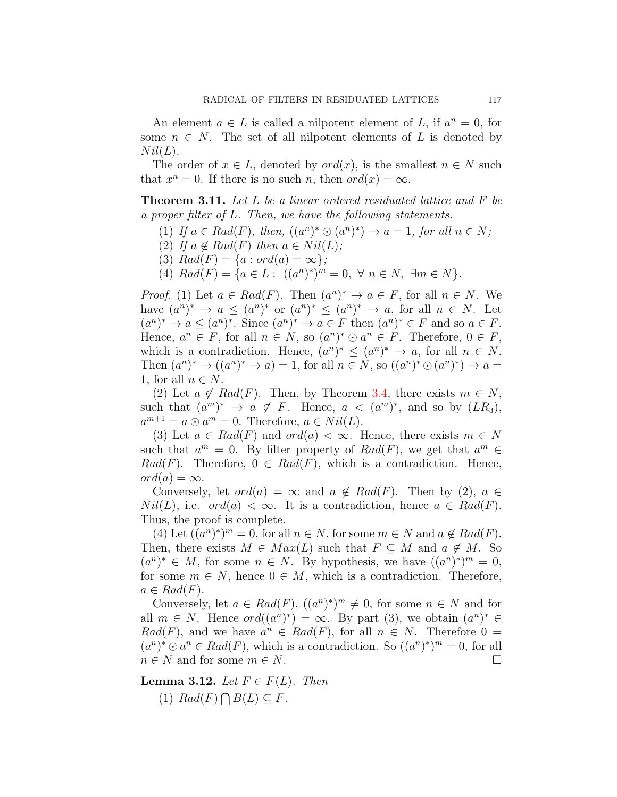An element  $a \in L$  is called a nilpotent element of L, if  $a^n = 0$ , for some  $n \in N$ . The set of all nilpotent elements of L is denoted by  $Nil(L).$ 

The order of  $x \in L$ , denoted by  $ord(x)$ , is the smallest  $n \in N$  such that  $x^n = 0$ . If there is no such *n*, then  $ord(x) = \infty$ .

<span id="page-6-1"></span>**Theorem 3.11.** *Let L be a linear ordered residuated lattice and F be a proper filter of L. Then, we have the following statements.*

- $(1)$  *If*  $a \in Rad(F)$ , then,  $((a^n)^* \odot (a^n)^*) \rightarrow a = 1$ , for all  $n \in N$ ;
- (2) If  $a \notin Rad(F)$  then  $a \in Nil(L)$ ;
- (3)  $Rad(F) = \{a : ord(a) = \infty\};$
- $(A) Rad(F) = {a \in L : ((a^n)^*)^m = 0, \forall n \in N, \exists m \in N}.$

*Proof.* (1) Let  $a \in Rad(F)$ . Then  $(a^n)^* \to a \in F$ , for all  $n \in N$ . We have  $(a^n)^* \to a \leq (a^n)^*$  or  $(a^n)^* \leq (a^n)^* \to a$ , for all  $n \in N$ . Let  $(a^n)^* \to a \leq (a^n)^*$ . Since  $(a^n)^* \to a \in F$  then  $(a^n)^* \in F$  and so  $a \in F$ . Hence,  $a^n \in F$ , for all  $n \in N$ , so  $(a^n)^* \odot a^n \in F$ . Therefore,  $0 \in F$ , which is a contradiction. Hence,  $(a^n)^* \leq (a^n)^* \to a$ , for all  $n \in N$ . Then  $(a^n)^* \to ((a^n)^* \to a) = 1$ , for all  $n \in N$ , so  $((a^n)^* \odot (a^n)^*) \to a =$ 1, for all  $n \in N$ .

(2) Let  $a \notin Rad(F)$ . Then, by Theorem [3.4](#page-3-2), there exists  $m \in N$ , such that  $(a^m)^* \rightarrow a \notin F$ . Hence,  $a < (a^m)^*$ , and so by  $(LR_3)$ ,  $a^{m+1} = a \odot a^m = 0$ . Therefore,  $a \in Nil(L)$ .

(3) Let  $a \in Rad(F)$  and  $ord(a) < \infty$ . Hence, there exists  $m \in N$ such that  $a^m = 0$ . By filter property of  $Rad(F)$ , we get that  $a^m \in$  $Rad(F)$ . Therefore,  $0 \in Rad(F)$ , which is a contradiction. Hence,  $ord(a) = \infty$ .

Conversely, let  $ord(a) = \infty$  and  $a \notin Rad(F)$ . Then by (2),  $a \in$ *Nil*(*L*), i.e. *ord*(*a*)  $\lt \infty$ . It is a contradiction, hence  $a \in Rad(F)$ . Thus, the proof is complete.

 $(4)$  Let  $((a^n)^*)^m = 0$ , for all  $n \in N$ , for some  $m \in N$  and  $a \notin Rad(F)$ . Then, there exists  $M \in Max(L)$  such that  $F \subseteq M$  and  $a \notin M$ . So  $(a^n)^* \in M$ , for some  $n \in N$ . By hypothesis, we have  $((a^n)^*)^m = 0$ , for some  $m \in N$ , hence  $0 \in M$ , which is a contradiction. Therefore,  $a \in Rad(F)$ .

Conversely, let  $a \in Rad(F)$ ,  $((a^n)^*)^m \neq 0$ , for some  $n \in N$  and for all  $m \in N$ . Hence  $ord((a^n)^*) = \infty$ . By part (3), we obtain  $(a^n)^* \in$ *Rad*(*F*), and we have  $a^n \in Rad(F)$ , for all  $n \in N$ . Therefore  $0 =$  $(a^n)^* \odot a^n \in Rad(F)$ , which is a contradiction. So  $((a^n)^*)^m = 0$ , for all  $n \in N$  and for some  $m \in N$ .

<span id="page-6-0"></span>**Lemma 3.12.** *Let*  $F \in F(L)$ *. Then*  $(1) Rad(F)\bigcap B(L)\subseteq F$ .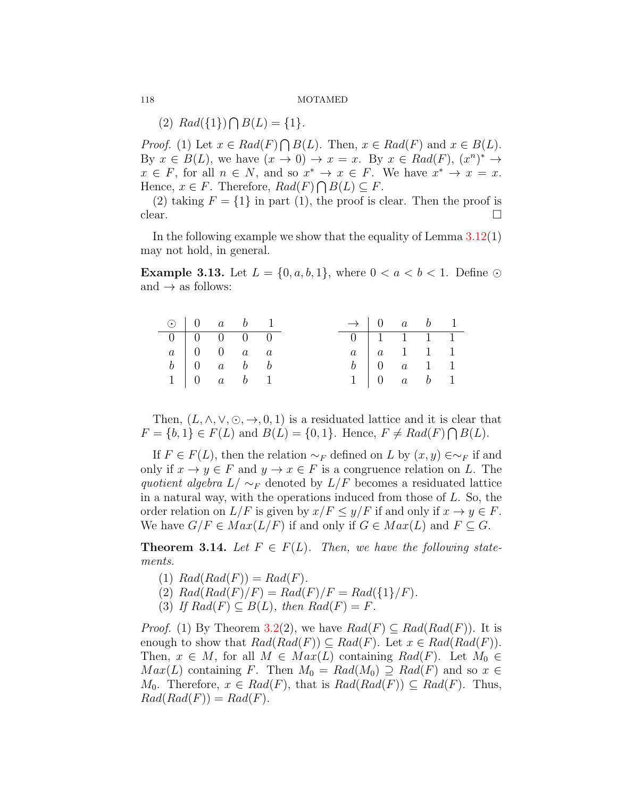$(A) Rad({1}) \bigcap B(L) = {1}.$ 

*Proof.* (1) Let  $x \in Rad(F) \cap B(L)$ . Then,  $x \in Rad(F)$  and  $x \in B(L)$ . By  $x \in B(L)$ , we have  $(x \to 0) \to x = x$ . By  $x \in Rad(F)$ ,  $(x^n)^* \to$  $x \in F$ , for all  $n \in N$ , and so  $x^* \to x \in F$ . We have  $x^* \to x = x$ . Hence,  $x \in F$ . Therefore,  $Rad(F) \cap B(L) \subseteq F$ .

(2) taking  $F = \{1\}$  in part (1), the proof is clear. Then the proof is clear.  $\Box$ 

In the following example we show that the equality of Lemma  $3.12(1)$  $3.12(1)$ may not hold, in general.

**Example 3.13.** Let  $L = \{0, a, b, 1\}$ , where  $0 < a < b < 1$ . Define  $\odot$ and  $\rightarrow$  as follows:

|  | $\odot$ 0 a b 1                                          |  |                                    | $\rightarrow$ 0 a b 1                           |  |  |
|--|----------------------------------------------------------|--|------------------------------------|-------------------------------------------------|--|--|
|  | $0 \mid 0 \mid 0 \mid 0 \mid 0$                          |  | $0 \mid 1 \quad 1 \quad 1 \quad 1$ |                                                 |  |  |
|  | $a \begin{array}{ c c c } a & 0 & 0 & a & a \end{array}$ |  |                                    | $a \mid a \quad 1 \quad 1 \quad 1$              |  |  |
|  | $b \begin{bmatrix} 0 & a & b & b \end{bmatrix}$          |  |                                    | $b \begin{bmatrix} 0 & a & 1 & 1 \end{bmatrix}$ |  |  |
|  | $1 \mid 0 \quad a \quad b \quad 1$                       |  |                                    | $1 \quad 0 \quad a \quad b \quad 1$             |  |  |

Then,  $(L, \wedge, \vee, \odot, \rightarrow, 0, 1)$  is a residuated lattice and it is clear that *F* = {*b,* 1} ∈ *F*(*L*) and *B*(*L*) = {0*,* 1}. Hence, *F* ≠ *Rad*(*F*) ∩ *B*(*L*).

If  $F \in F(L)$ , then the relation  $\sim_F$  defined on *L* by  $(x, y) \in \sim_F$  if and only if  $x \to y \in F$  and  $y \to x \in F$  is a congruence relation on L. The *quotient algebra*  $L/\sim_F$  denoted by  $L/F$  becomes a residuated lattice in a natural way, with the operations induced from those of *L*. So, the order relation on  $L/F$  is given by  $x/F \leq y/F$  if and only if  $x \to y \in F$ . We have  $G/F \in Max(L/F)$  if and only if  $G \in Max(L)$  and  $F \subseteq G$ .

<span id="page-7-0"></span>**Theorem 3.14.** Let  $F \in F(L)$ . Then, we have the following state*ments.*

- (1)  $Rad(Rad(F)) = Rad(F)$ .
- (2)  $Rad(Rad(F)/F) = Rad(F)/F = Rad({1}/F)$ .
- $(3)$  *If*  $Rad(F) \subseteq B(L)$ *, then*  $Rad(F) = F$ *.*

*Proof.* (1) By Theorem [3.2](#page-3-1)(2), we have  $Rad(F) \subseteq Rad(Rad(F))$ . It is enough to show that  $Rad(Rad(F)) \subseteq Rad(F)$ . Let  $x \in Rad(Rad(F))$ . Then,  $x \in M$ , for all  $M \in Max(L)$  containing  $Rad(F)$ . Let  $M_0 \in$  $Max(L)$  containing *F*. Then  $M_0 = Rad(M_0) \supseteq Rad(F)$  and so  $x \in$ *M*<sup>0</sup>. Therefore, *x* ∈ *Rad*(*F*), that is  $Rad(Rad(F)) ⊆ Rad(F)$ . Thus,  $Rad(Rad(F)) = Rad(F).$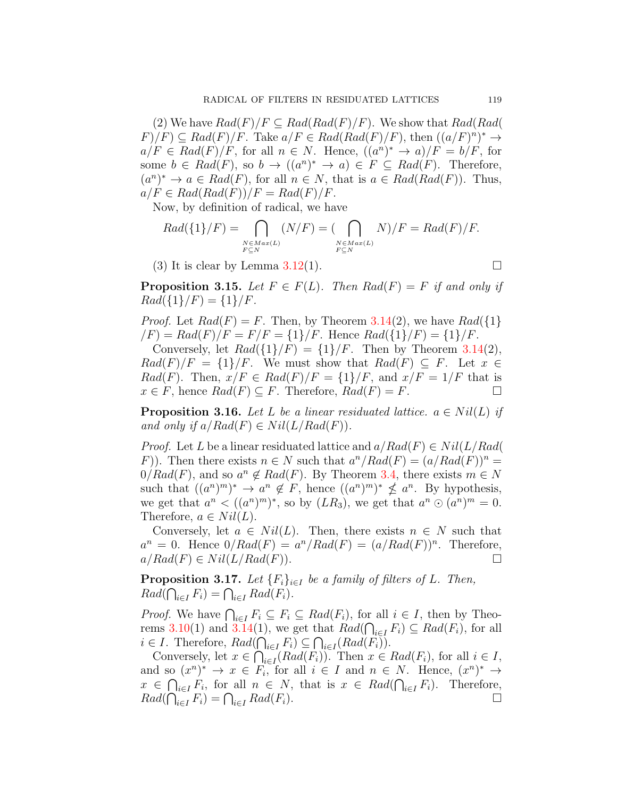(2) We have  $Rad(F)/F \subseteq Rad(Rad(F)/F)$ . We show that  $Rad(Rad(G))$  $F$ ) $/F$ )  $\subseteq$   $Rad(F)/F$ . Take  $a/F \in Rad(Rad(F)/F)$ , then  $((a/F)^n)^* \rightarrow$  $a/F \in Rad(F)/F$ , for all  $n \in N$ . Hence,  $((a^n)^* \rightarrow a)/F = b/F$ , for some  $b \in Rad(F)$ , so  $b \rightarrow ((a^n)^* \rightarrow a) \in F \subseteq Rad(F)$ . Therefore,  $(a^n)^* \to a \in Rad(F)$ , for all  $n \in N$ , that is  $a \in Rad(Rad(F))$ . Thus,  $a/F \in Rad(Rad(F))/F = Rad(F)/F$ .

Now, by definition of radical, we have

$$
Rad(\{1\}/F) = \bigcap_{\substack{N \in Max(L) \\ F \subseteq N}} (N/F) = (\bigcap_{\substack{N \in Max(L) \\ F \subseteq N}} N)/F = Rad(F)/F.
$$

(3) It is clear by Lemma  $3.12(1)$  $3.12(1)$ .

**Proposition 3.15.** *Let*  $F \in F(L)$ *. Then*  $Rad(F) = F$  *if and only if*  $Rad({1}$ */F* $) = {1}$ */F.* 

*Proof.* Let  $Rad(F) = F$ . Then, by Theorem [3.14\(](#page-7-0)2), we have  $Rad({1}$  $\mathcal{F}(F) = \text{Rad}(F)/F = F/F = \{1\}/F$ . Hence  $\text{Rad}(\{1\}/F) = \{1\}/F$ .

Conversely, let  $Rad({1} / F) = {1} / F$ . Then by Theorem [3.14\(](#page-7-0)2),  $Rad(F)/F = \{1\}/F$ . We must show that  $Rad(F) \subseteq F$ . Let  $x \in$ *Rad*(*F*). Then,  $x/F \in Rad(F)/F = \{1\}/F$ , and  $x/F = 1/F$  that is  $x \in F$ , hence  $Rad(F) \subseteq F$ . Therefore,  $Rad(F) = F$ . □

**Proposition 3.16.** *Let L be a linear residuated lattice.*  $a \in Nil(L)$  *if and only if*  $a/Rad(F) \in Nil(L/Rad(F))$ .

*Proof.* Let *L* be a linear residuated lattice and  $a/Rad(F) \in Nil(L/Rad(G))$ *F*)). Then there exists  $n \in N$  such that  $a^n/Rad(F) = (a/Rad(F))^n =$  $0/Rad(F)$ , and so  $a^n \notin Rad(F)$ . By Theorem [3.4,](#page-3-2) there exists  $m \in N$ such that  $((a^n)^m)^* \to a^n \notin F$ , hence  $((a^n)^m)^* \nleq a^n$ . By hypothesis, we get that  $a^n < ((a^n)^m)^*$ , so by  $(LR_3)$ , we get that  $a^n \odot (a^n)^m = 0$ . Therefore,  $a \in Nil(L)$ .

Conversely, let  $a \in Nil(L)$ . Then, there exists  $n \in N$  such that  $a^n = 0$ . Hence  $0/Rad(F) = a^n/Rad(F) = (a/Rad(F))^n$ . Therefore,  $a/Rad(F) \in Nil(L/Rad(F)).$ 

**Proposition 3.17.** *Let*  ${F_i}_{i \in I}$  *be a family of filters of L. Then,*  $Rad(\bigcap_{i \in I} F_i) = \bigcap_{i \in I} Rad(F_i).$ 

*Proof.* We have  $\bigcap_{i\in I} F_i \subseteq F_i \subseteq Rad(F_i)$ , for all  $i \in I$ , then by Theorems  $3.10(1)$  $3.10(1)$  and  $3.14(1)$  $3.14(1)$ , we get that  $Rad(\bigcap_{i\in I} F_i) \subseteq Rad(F_i)$ , for all  $i \in I$ . Therefore,  $Rad(\bigcap_{i \in I} F_i) \subseteq \bigcap_{i \in I} (Rad(F_i))$ .

Conversely, let  $x \in \bigcap_{i \in I} (Rad(F_i))$ . Then  $x \in Rad(F_i)$ , for all  $i \in I$ , and so  $(x^n)^* \to x \in F_i$ , for all  $i \in I$  and  $n \in N$ . Hence,  $(x^n)^* \to$  $x \in \bigcap_{i \in I} F_i$ , for all  $n \in N$ , that is  $x \in Rad(\bigcap_{i \in I} F_i)$ . Therefore,  $Rad(\bigcap_{i \in I} F_i) = \bigcap_{i \in I} Rad(F_i).$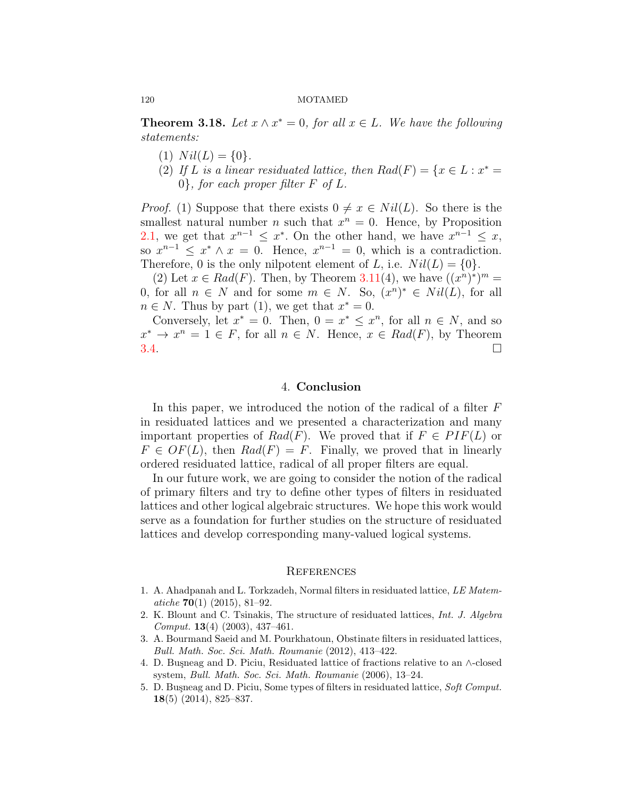**Theorem 3.18.** *Let*  $x \wedge x^* = 0$ *, for all*  $x \in L$ *. We have the following statements:*

- $(1)$   $Nil(L) = \{0\}.$
- (2) If *L* is a linear residuated lattice, then  $Rad(F) = \{x \in L : x^* =$ 0*}, for each proper filter F of L.*

*Proof.* (1) Suppose that there exists  $0 \neq x \in Nil(L)$ . So there is the smallest natural number *n* such that  $x^n = 0$ . Hence, by Proposition [2.1](#page-1-0), we get that  $x^{n-1} \leq x^*$ . On the other hand, we have  $x^{n-1} \leq x$ , so  $x^{n-1} \leq x^* \wedge x = 0$ . Hence,  $x^{n-1} = 0$ , which is a contradiction. Therefore, 0 is the only nilpotent element of *L*, i.e.  $Nil(L) = \{0\}.$ 

(2) Let  $x \in Rad(F)$ . Then, by Theorem [3.11\(](#page-6-1)4), we have  $((x^n)^*)^m =$ 0, for all  $n \in N$  and for some  $m \in N$ . So,  $(x^n)^* \in Nil(L)$ , for all  $n \in N$ . Thus by part (1), we get that  $x^* = 0$ .

Conversely, let  $x^* = 0$ . Then,  $0 = x^* \leq x^n$ , for all  $n \in N$ , and so  $x^* \to x^n = 1 \in F$ , for all  $n \in N$ . Hence,  $x \in Rad(F)$ , by Theorem  $3.4.$  $3.4.$ 

## 4. **Conclusion**

In this paper, we introduced the notion of the radical of a filter *F* in residuated lattices and we presented a characterization and many important properties of  $Rad(F)$ . We proved that if  $F \in PIF(L)$  or  $F \in \mathcal{O}F(L)$ , then  $Rad(F) = F$ . Finally, we proved that in linearly ordered residuated lattice, radical of all proper filters are equal.

In our future work, we are going to consider the notion of the radical of primary filters and try to define other types of filters in residuated lattices and other logical algebraic structures. We hope this work would serve as a foundation for further studies on the structure of residuated lattices and develop corresponding many-valued logical systems.

## **REFERENCES**

- <span id="page-9-1"></span>1. A. Ahadpanah and L. Torkzadeh, Normal filters in residuated lattice, *LE Matematiche* **70**(1) (2015), 81–92.
- <span id="page-9-3"></span>2. K. Blount and C. Tsinakis, The structure of residuated lattices, *Int. J. Algebra Comput.* **13**(4) (2003), 437–461.
- <span id="page-9-2"></span>3. A. Bourmand Saeid and M. Pourkhatoun, Obstinate filters in residuated lattices, *Bull. Math. Soc. Sci. Math. Roumanie* (2012), 413–422.
- <span id="page-9-4"></span>4. D. Bu¸sneag and D. Piciu, Residuated lattice of fractions relative to an *∧*-closed system, *Bull. Math. Soc. Sci. Math. Roumanie* (2006), 13–24.
- <span id="page-9-0"></span>5. D. Bu¸sneag and D. Piciu, Some types of filters in residuated lattice, *Soft Comput.* **18**(5) (2014), 825–837.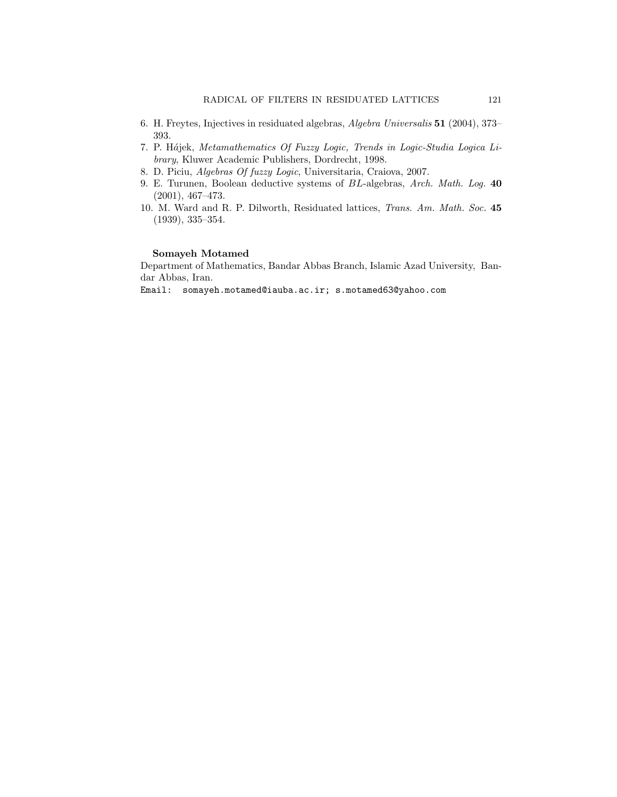- <span id="page-10-4"></span>6. H. Freytes, Injectives in residuated algebras, *Algebra Universalis* **51** (2004), 373– 393.
- <span id="page-10-1"></span>7. P. H´*a*jek, *Metamathematics Of Fuzzy Logic, Trends in Logic-Studia Logica Library*, Kluwer Academic Publishers, Dordrecht, 1998.
- <span id="page-10-3"></span>8. D. Piciu, *Algebras Of fuzzy Logic*, Universitaria, Craiova, 2007.
- <span id="page-10-2"></span>9. E. Turunen, Boolean deductive systems of *BL*-algebras, *Arch. Math. Log.* **40** (2001), 467–473.
- <span id="page-10-0"></span>10. M. Ward and R. P. Dilworth, Residuated lattices, *Trans. Am. Math. Soc.* **45** (1939), 335–354.

### **Somayeh Motamed**

Department of Mathematics, Bandar Abbas Branch, Islamic Azad University, Bandar Abbas, Iran.

Email: somayeh.motamed@iauba.ac.ir; s.motamed63@yahoo.com